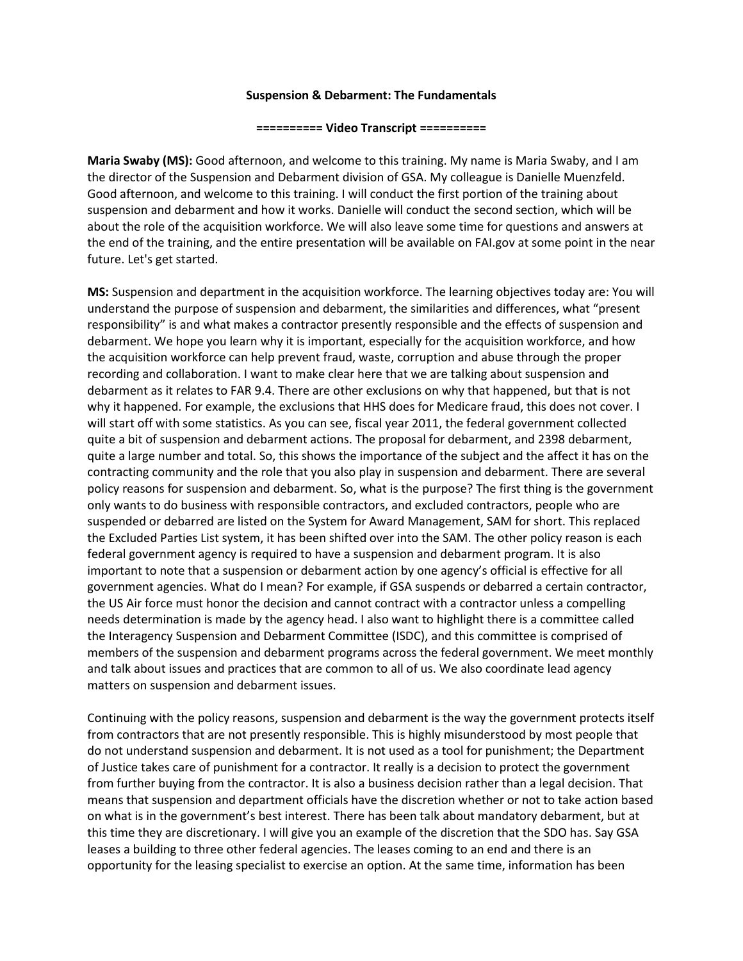## **Suspension & Debarment: The Fundamentals**

## **========== Video Transcript ==========**

**Maria Swaby (MS):** Good afternoon, and welcome to this training. My name is Maria Swaby, and I am the director of the Suspension and Debarment division of GSA. My colleague is Danielle Muenzfeld. Good afternoon, and welcome to this training. I will conduct the first portion of the training about suspension and debarment and how it works. Danielle will conduct the second section, which will be about the role of the acquisition workforce. We will also leave some time for questions and answers at the end of the training, and the entire presentation will be available on FAI.gov at some point in the near future. Let's get started.

**MS:** Suspension and department in the acquisition workforce. The learning objectives today are: You will understand the purpose of suspension and debarment, the similarities and differences, what "present responsibility" is and what makes a contractor presently responsible and the effects of suspension and debarment. We hope you learn why it is important, especially for the acquisition workforce, and how the acquisition workforce can help prevent fraud, waste, corruption and abuse through the proper recording and collaboration. I want to make clear here that we are talking about suspension and debarment as it relates to FAR 9.4. There are other exclusions on why that happened, but that is not why it happened. For example, the exclusions that HHS does for Medicare fraud, this does not cover. I will start off with some statistics. As you can see, fiscal year 2011, the federal government collected quite a bit of suspension and debarment actions. The proposal for debarment, and 2398 debarment, quite a large number and total. So, this shows the importance of the subject and the affect it has on the contracting community and the role that you also play in suspension and debarment. There are several policy reasons for suspension and debarment. So, what is the purpose? The first thing is the government only wants to do business with responsible contractors, and excluded contractors, people who are suspended or debarred are listed on the System for Award Management, SAM for short. This replaced the Excluded Parties List system, it has been shifted over into the SAM. The other policy reason is each federal government agency is required to have a suspension and debarment program. It is also important to note that a suspension or debarment action by one agency's official is effective for all government agencies. What do I mean? For example, if GSA suspends or debarred a certain contractor, the US Air force must honor the decision and cannot contract with a contractor unless a compelling needs determination is made by the agency head. I also want to highlight there is a committee called the Interagency Suspension and Debarment Committee (ISDC), and this committee is comprised of members of the suspension and debarment programs across the federal government. We meet monthly and talk about issues and practices that are common to all of us. We also coordinate lead agency matters on suspension and debarment issues.

Continuing with the policy reasons, suspension and debarment is the way the government protects itself from contractors that are not presently responsible. This is highly misunderstood by most people that do not understand suspension and debarment. It is not used as a tool for punishment; the Department of Justice takes care of punishment for a contractor. It really is a decision to protect the government from further buying from the contractor. It is also a business decision rather than a legal decision. That means that suspension and department officials have the discretion whether or not to take action based on what is in the government's best interest. There has been talk about mandatory debarment, but at this time they are discretionary. I will give you an example of the discretion that the SDO has. Say GSA leases a building to three other federal agencies. The leases coming to an end and there is an opportunity for the leasing specialist to exercise an option. At the same time, information has been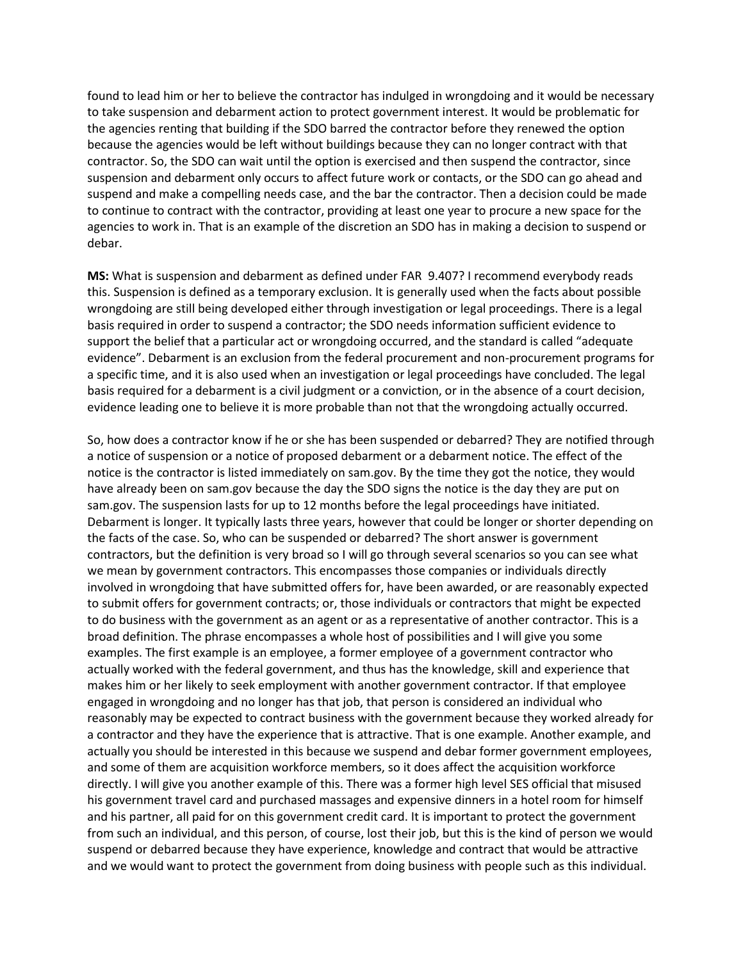found to lead him or her to believe the contractor has indulged in wrongdoing and it would be necessary to take suspension and debarment action to protect government interest. It would be problematic for the agencies renting that building if the SDO barred the contractor before they renewed the option because the agencies would be left without buildings because they can no longer contract with that contractor. So, the SDO can wait until the option is exercised and then suspend the contractor, since suspension and debarment only occurs to affect future work or contacts, or the SDO can go ahead and suspend and make a compelling needs case, and the bar the contractor. Then a decision could be made to continue to contract with the contractor, providing at least one year to procure a new space for the agencies to work in. That is an example of the discretion an SDO has in making a decision to suspend or debar.

**MS:** What is suspension and debarment as defined under FAR 9.407? I recommend everybody reads this. Suspension is defined as a temporary exclusion. It is generally used when the facts about possible wrongdoing are still being developed either through investigation or legal proceedings. There is a legal basis required in order to suspend a contractor; the SDO needs information sufficient evidence to support the belief that a particular act or wrongdoing occurred, and the standard is called "adequate evidence". Debarment is an exclusion from the federal procurement and non-procurement programs for a specific time, and it is also used when an investigation or legal proceedings have concluded. The legal basis required for a debarment is a civil judgment or a conviction, or in the absence of a court decision, evidence leading one to believe it is more probable than not that the wrongdoing actually occurred.

So, how does a contractor know if he or she has been suspended or debarred? They are notified through a notice of suspension or a notice of proposed debarment or a debarment notice. The effect of the notice is the contractor is listed immediately on sam.gov. By the time they got the notice, they would have already been on sam.gov because the day the SDO signs the notice is the day they are put on sam.gov. The suspension lasts for up to 12 months before the legal proceedings have initiated. Debarment is longer. It typically lasts three years, however that could be longer or shorter depending on the facts of the case. So, who can be suspended or debarred? The short answer is government contractors, but the definition is very broad so I will go through several scenarios so you can see what we mean by government contractors. This encompasses those companies or individuals directly involved in wrongdoing that have submitted offers for, have been awarded, or are reasonably expected to submit offers for government contracts; or, those individuals or contractors that might be expected to do business with the government as an agent or as a representative of another contractor. This is a broad definition. The phrase encompasses a whole host of possibilities and I will give you some examples. The first example is an employee, a former employee of a government contractor who actually worked with the federal government, and thus has the knowledge, skill and experience that makes him or her likely to seek employment with another government contractor. If that employee engaged in wrongdoing and no longer has that job, that person is considered an individual who reasonably may be expected to contract business with the government because they worked already for a contractor and they have the experience that is attractive. That is one example. Another example, and actually you should be interested in this because we suspend and debar former government employees, and some of them are acquisition workforce members, so it does affect the acquisition workforce directly. I will give you another example of this. There was a former high level SES official that misused his government travel card and purchased massages and expensive dinners in a hotel room for himself and his partner, all paid for on this government credit card. It is important to protect the government from such an individual, and this person, of course, lost their job, but this is the kind of person we would suspend or debarred because they have experience, knowledge and contract that would be attractive and we would want to protect the government from doing business with people such as this individual.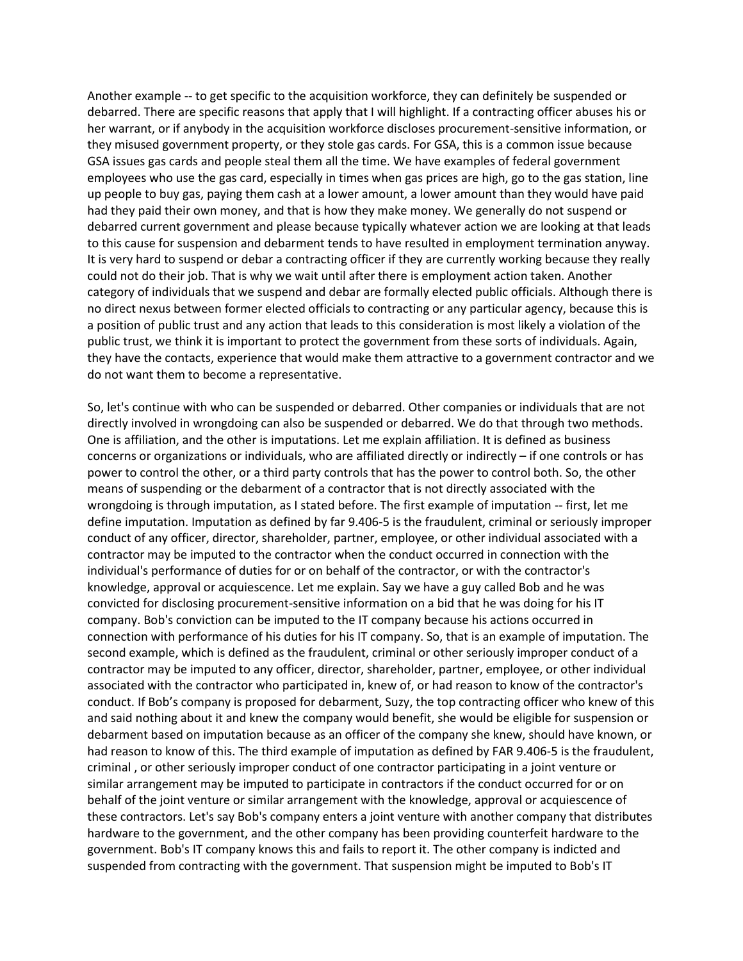Another example -- to get specific to the acquisition workforce, they can definitely be suspended or debarred. There are specific reasons that apply that I will highlight. If a contracting officer abuses his or her warrant, or if anybody in the acquisition workforce discloses procurement-sensitive information, or they misused government property, or they stole gas cards. For GSA, this is a common issue because GSA issues gas cards and people steal them all the time. We have examples of federal government employees who use the gas card, especially in times when gas prices are high, go to the gas station, line up people to buy gas, paying them cash at a lower amount, a lower amount than they would have paid had they paid their own money, and that is how they make money. We generally do not suspend or debarred current government and please because typically whatever action we are looking at that leads to this cause for suspension and debarment tends to have resulted in employment termination anyway. It is very hard to suspend or debar a contracting officer if they are currently working because they really could not do their job. That is why we wait until after there is employment action taken. Another category of individuals that we suspend and debar are formally elected public officials. Although there is no direct nexus between former elected officials to contracting or any particular agency, because this is a position of public trust and any action that leads to this consideration is most likely a violation of the public trust, we think it is important to protect the government from these sorts of individuals. Again, they have the contacts, experience that would make them attractive to a government contractor and we do not want them to become a representative.

So, let's continue with who can be suspended or debarred. Other companies or individuals that are not directly involved in wrongdoing can also be suspended or debarred. We do that through two methods. One is affiliation, and the other is imputations. Let me explain affiliation. It is defined as business concerns or organizations or individuals, who are affiliated directly or indirectly – if one controls or has power to control the other, or a third party controls that has the power to control both. So, the other means of suspending or the debarment of a contractor that is not directly associated with the wrongdoing is through imputation, as I stated before. The first example of imputation -- first, let me define imputation. Imputation as defined by far 9.406-5 is the fraudulent, criminal or seriously improper conduct of any officer, director, shareholder, partner, employee, or other individual associated with a contractor may be imputed to the contractor when the conduct occurred in connection with the individual's performance of duties for or on behalf of the contractor, or with the contractor's knowledge, approval or acquiescence. Let me explain. Say we have a guy called Bob and he was convicted for disclosing procurement-sensitive information on a bid that he was doing for his IT company. Bob's conviction can be imputed to the IT company because his actions occurred in connection with performance of his duties for his IT company. So, that is an example of imputation. The second example, which is defined as the fraudulent, criminal or other seriously improper conduct of a contractor may be imputed to any officer, director, shareholder, partner, employee, or other individual associated with the contractor who participated in, knew of, or had reason to know of the contractor's conduct. If Bob's company is proposed for debarment, Suzy, the top contracting officer who knew of this and said nothing about it and knew the company would benefit, she would be eligible for suspension or debarment based on imputation because as an officer of the company she knew, should have known, or had reason to know of this. The third example of imputation as defined by FAR 9.406-5 is the fraudulent, criminal , or other seriously improper conduct of one contractor participating in a joint venture or similar arrangement may be imputed to participate in contractors if the conduct occurred for or on behalf of the joint venture or similar arrangement with the knowledge, approval or acquiescence of these contractors. Let's say Bob's company enters a joint venture with another company that distributes hardware to the government, and the other company has been providing counterfeit hardware to the government. Bob's IT company knows this and fails to report it. The other company is indicted and suspended from contracting with the government. That suspension might be imputed to Bob's IT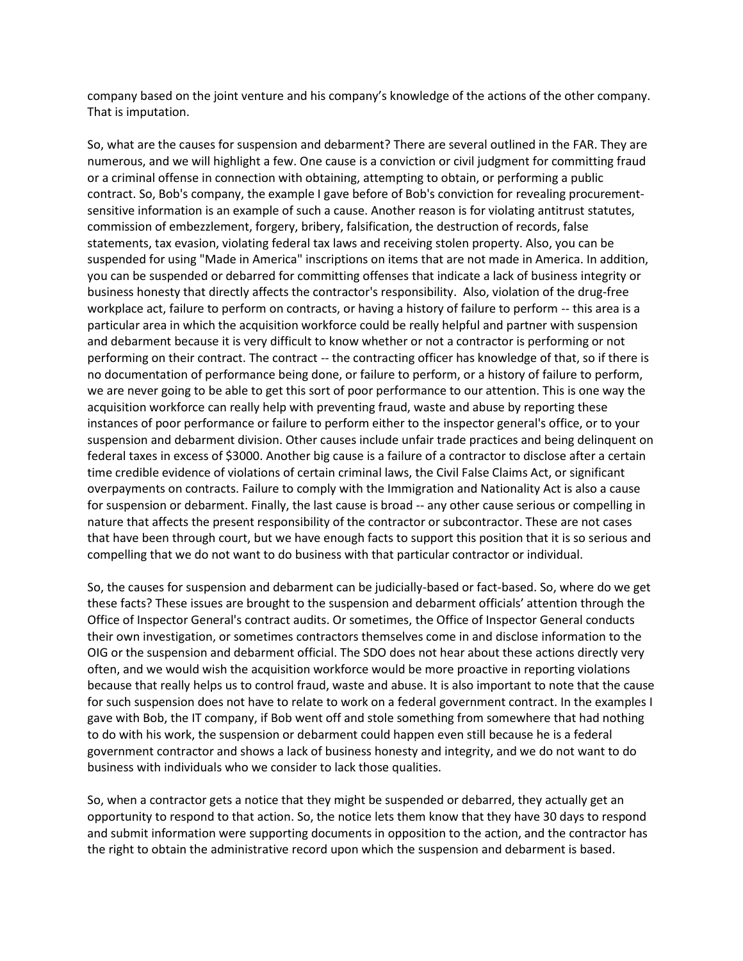company based on the joint venture and his company's knowledge of the actions of the other company. That is imputation.

So, what are the causes for suspension and debarment? There are several outlined in the FAR. They are numerous, and we will highlight a few. One cause is a conviction or civil judgment for committing fraud or a criminal offense in connection with obtaining, attempting to obtain, or performing a public contract. So, Bob's company, the example I gave before of Bob's conviction for revealing procurementsensitive information is an example of such a cause. Another reason is for violating antitrust statutes, commission of embezzlement, forgery, bribery, falsification, the destruction of records, false statements, tax evasion, violating federal tax laws and receiving stolen property. Also, you can be suspended for using "Made in America" inscriptions on items that are not made in America. In addition, you can be suspended or debarred for committing offenses that indicate a lack of business integrity or business honesty that directly affects the contractor's responsibility. Also, violation of the drug-free workplace act, failure to perform on contracts, or having a history of failure to perform -- this area is a particular area in which the acquisition workforce could be really helpful and partner with suspension and debarment because it is very difficult to know whether or not a contractor is performing or not performing on their contract. The contract -- the contracting officer has knowledge of that, so if there is no documentation of performance being done, or failure to perform, or a history of failure to perform, we are never going to be able to get this sort of poor performance to our attention. This is one way the acquisition workforce can really help with preventing fraud, waste and abuse by reporting these instances of poor performance or failure to perform either to the inspector general's office, or to your suspension and debarment division. Other causes include unfair trade practices and being delinquent on federal taxes in excess of \$3000. Another big cause is a failure of a contractor to disclose after a certain time credible evidence of violations of certain criminal laws, the Civil False Claims Act, or significant overpayments on contracts. Failure to comply with the Immigration and Nationality Act is also a cause for suspension or debarment. Finally, the last cause is broad -- any other cause serious or compelling in nature that affects the present responsibility of the contractor or subcontractor. These are not cases that have been through court, but we have enough facts to support this position that it is so serious and compelling that we do not want to do business with that particular contractor or individual.

So, the causes for suspension and debarment can be judicially-based or fact-based. So, where do we get these facts? These issues are brought to the suspension and debarment officials' attention through the Office of Inspector General's contract audits. Or sometimes, the Office of Inspector General conducts their own investigation, or sometimes contractors themselves come in and disclose information to the OIG or the suspension and debarment official. The SDO does not hear about these actions directly very often, and we would wish the acquisition workforce would be more proactive in reporting violations because that really helps us to control fraud, waste and abuse. It is also important to note that the cause for such suspension does not have to relate to work on a federal government contract. In the examples I gave with Bob, the IT company, if Bob went off and stole something from somewhere that had nothing to do with his work, the suspension or debarment could happen even still because he is a federal government contractor and shows a lack of business honesty and integrity, and we do not want to do business with individuals who we consider to lack those qualities.

So, when a contractor gets a notice that they might be suspended or debarred, they actually get an opportunity to respond to that action. So, the notice lets them know that they have 30 days to respond and submit information were supporting documents in opposition to the action, and the contractor has the right to obtain the administrative record upon which the suspension and debarment is based.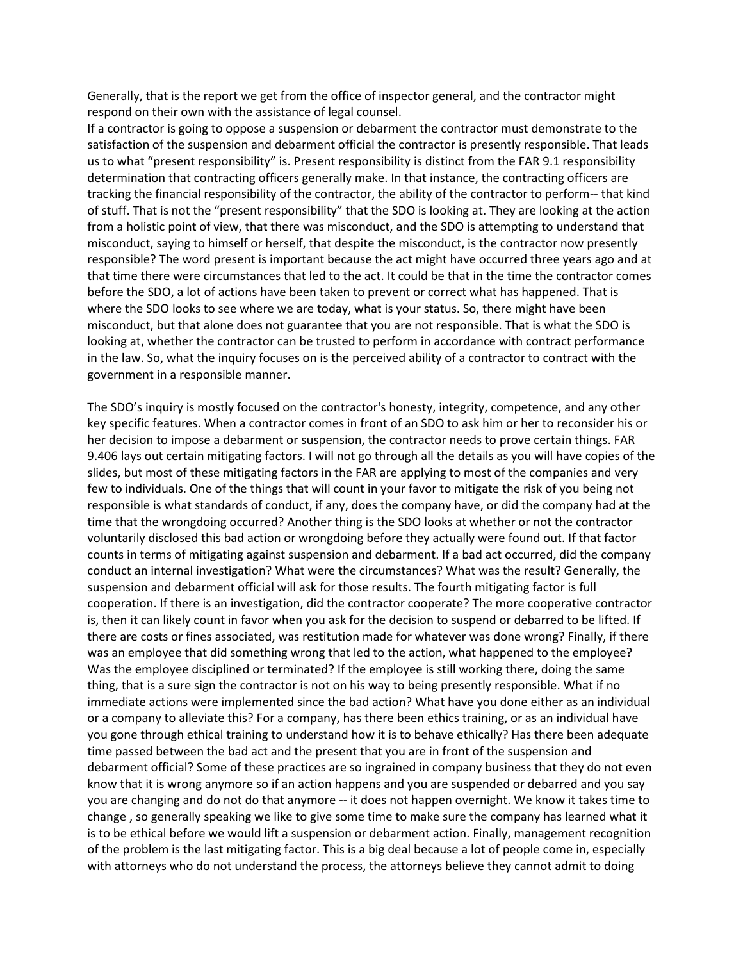Generally, that is the report we get from the office of inspector general, and the contractor might respond on their own with the assistance of legal counsel.

If a contractor is going to oppose a suspension or debarment the contractor must demonstrate to the satisfaction of the suspension and debarment official the contractor is presently responsible. That leads us to what "present responsibility" is. Present responsibility is distinct from the FAR 9.1 responsibility determination that contracting officers generally make. In that instance, the contracting officers are tracking the financial responsibility of the contractor, the ability of the contractor to perform-- that kind of stuff. That is not the "present responsibility" that the SDO is looking at. They are looking at the action from a holistic point of view, that there was misconduct, and the SDO is attempting to understand that misconduct, saying to himself or herself, that despite the misconduct, is the contractor now presently responsible? The word present is important because the act might have occurred three years ago and at that time there were circumstances that led to the act. It could be that in the time the contractor comes before the SDO, a lot of actions have been taken to prevent or correct what has happened. That is where the SDO looks to see where we are today, what is your status. So, there might have been misconduct, but that alone does not guarantee that you are not responsible. That is what the SDO is looking at, whether the contractor can be trusted to perform in accordance with contract performance in the law. So, what the inquiry focuses on is the perceived ability of a contractor to contract with the government in a responsible manner.

The SDO's inquiry is mostly focused on the contractor's honesty, integrity, competence, and any other key specific features. When a contractor comes in front of an SDO to ask him or her to reconsider his or her decision to impose a debarment or suspension, the contractor needs to prove certain things. FAR 9.406 lays out certain mitigating factors. I will not go through all the details as you will have copies of the slides, but most of these mitigating factors in the FAR are applying to most of the companies and very few to individuals. One of the things that will count in your favor to mitigate the risk of you being not responsible is what standards of conduct, if any, does the company have, or did the company had at the time that the wrongdoing occurred? Another thing is the SDO looks at whether or not the contractor voluntarily disclosed this bad action or wrongdoing before they actually were found out. If that factor counts in terms of mitigating against suspension and debarment. If a bad act occurred, did the company conduct an internal investigation? What were the circumstances? What was the result? Generally, the suspension and debarment official will ask for those results. The fourth mitigating factor is full cooperation. If there is an investigation, did the contractor cooperate? The more cooperative contractor is, then it can likely count in favor when you ask for the decision to suspend or debarred to be lifted. If there are costs or fines associated, was restitution made for whatever was done wrong? Finally, if there was an employee that did something wrong that led to the action, what happened to the employee? Was the employee disciplined or terminated? If the employee is still working there, doing the same thing, that is a sure sign the contractor is not on his way to being presently responsible. What if no immediate actions were implemented since the bad action? What have you done either as an individual or a company to alleviate this? For a company, has there been ethics training, or as an individual have you gone through ethical training to understand how it is to behave ethically? Has there been adequate time passed between the bad act and the present that you are in front of the suspension and debarment official? Some of these practices are so ingrained in company business that they do not even know that it is wrong anymore so if an action happens and you are suspended or debarred and you say you are changing and do not do that anymore -- it does not happen overnight. We know it takes time to change , so generally speaking we like to give some time to make sure the company has learned what it is to be ethical before we would lift a suspension or debarment action. Finally, management recognition of the problem is the last mitigating factor. This is a big deal because a lot of people come in, especially with attorneys who do not understand the process, the attorneys believe they cannot admit to doing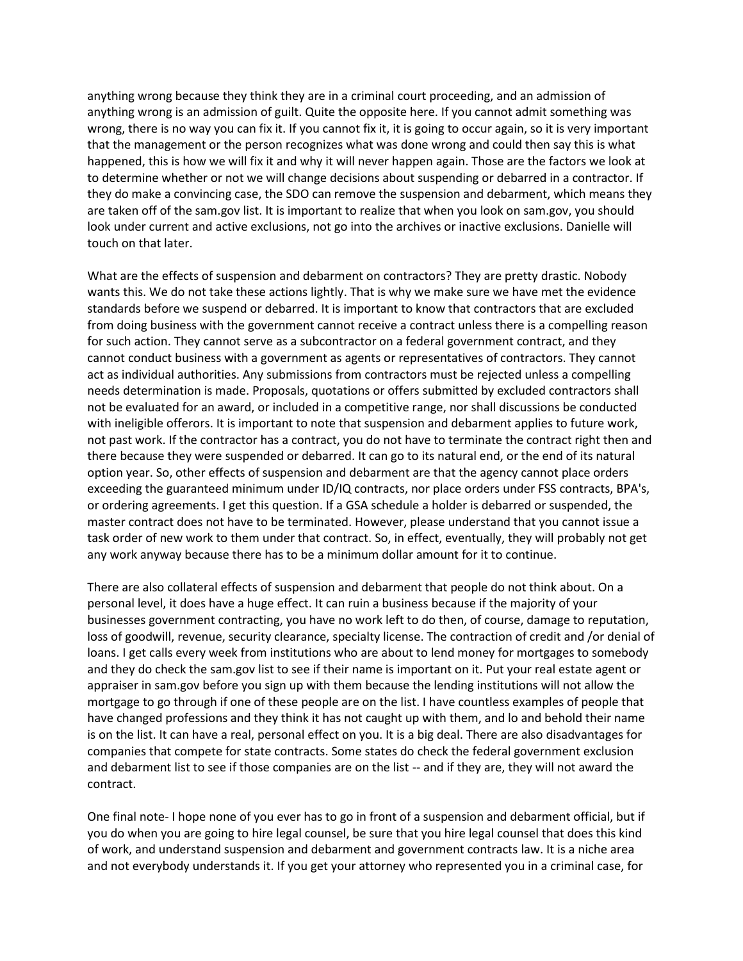anything wrong because they think they are in a criminal court proceeding, and an admission of anything wrong is an admission of guilt. Quite the opposite here. If you cannot admit something was wrong, there is no way you can fix it. If you cannot fix it, it is going to occur again, so it is very important that the management or the person recognizes what was done wrong and could then say this is what happened, this is how we will fix it and why it will never happen again. Those are the factors we look at to determine whether or not we will change decisions about suspending or debarred in a contractor. If they do make a convincing case, the SDO can remove the suspension and debarment, which means they are taken off of the sam.gov list. It is important to realize that when you look on sam.gov, you should look under current and active exclusions, not go into the archives or inactive exclusions. Danielle will touch on that later.

What are the effects of suspension and debarment on contractors? They are pretty drastic. Nobody wants this. We do not take these actions lightly. That is why we make sure we have met the evidence standards before we suspend or debarred. It is important to know that contractors that are excluded from doing business with the government cannot receive a contract unless there is a compelling reason for such action. They cannot serve as a subcontractor on a federal government contract, and they cannot conduct business with a government as agents or representatives of contractors. They cannot act as individual authorities. Any submissions from contractors must be rejected unless a compelling needs determination is made. Proposals, quotations or offers submitted by excluded contractors shall not be evaluated for an award, or included in a competitive range, nor shall discussions be conducted with ineligible offerors. It is important to note that suspension and debarment applies to future work, not past work. If the contractor has a contract, you do not have to terminate the contract right then and there because they were suspended or debarred. It can go to its natural end, or the end of its natural option year. So, other effects of suspension and debarment are that the agency cannot place orders exceeding the guaranteed minimum under ID/IQ contracts, nor place orders under FSS contracts, BPA's, or ordering agreements. I get this question. If a GSA schedule a holder is debarred or suspended, the master contract does not have to be terminated. However, please understand that you cannot issue a task order of new work to them under that contract. So, in effect, eventually, they will probably not get any work anyway because there has to be a minimum dollar amount for it to continue.

There are also collateral effects of suspension and debarment that people do not think about. On a personal level, it does have a huge effect. It can ruin a business because if the majority of your businesses government contracting, you have no work left to do then, of course, damage to reputation, loss of goodwill, revenue, security clearance, specialty license. The contraction of credit and /or denial of loans. I get calls every week from institutions who are about to lend money for mortgages to somebody and they do check the sam.gov list to see if their name is important on it. Put your real estate agent or appraiser in sam.gov before you sign up with them because the lending institutions will not allow the mortgage to go through if one of these people are on the list. I have countless examples of people that have changed professions and they think it has not caught up with them, and lo and behold their name is on the list. It can have a real, personal effect on you. It is a big deal. There are also disadvantages for companies that compete for state contracts. Some states do check the federal government exclusion and debarment list to see if those companies are on the list -- and if they are, they will not award the contract.

One final note- I hope none of you ever has to go in front of a suspension and debarment official, but if you do when you are going to hire legal counsel, be sure that you hire legal counsel that does this kind of work, and understand suspension and debarment and government contracts law. It is a niche area and not everybody understands it. If you get your attorney who represented you in a criminal case, for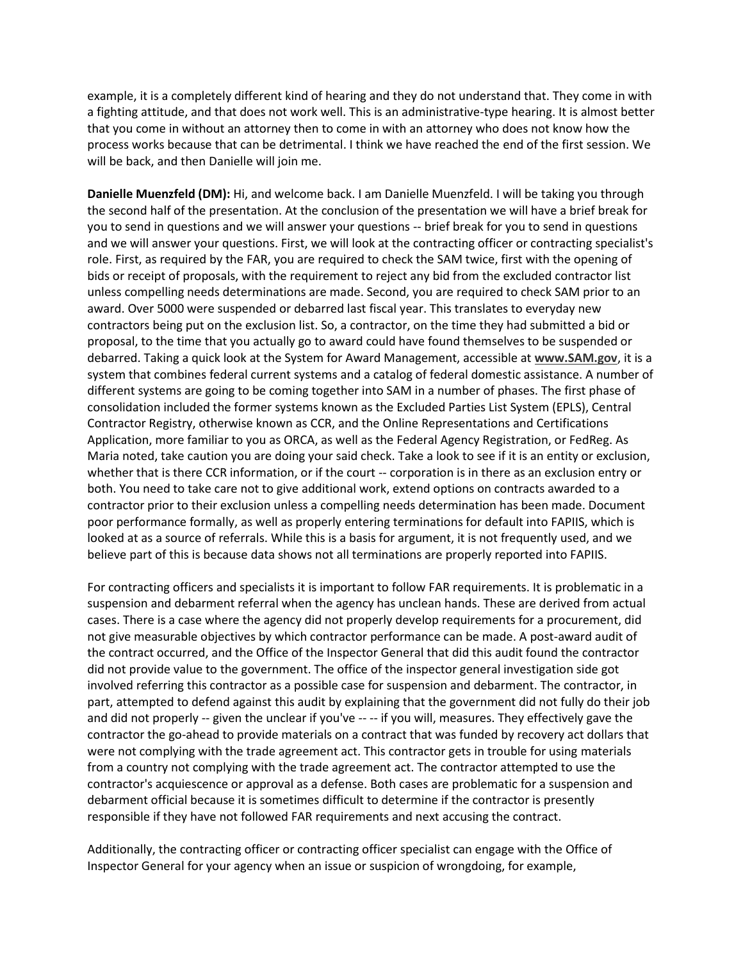example, it is a completely different kind of hearing and they do not understand that. They come in with a fighting attitude, and that does not work well. This is an administrative-type hearing. It is almost better that you come in without an attorney then to come in with an attorney who does not know how the process works because that can be detrimental. I think we have reached the end of the first session. We will be back, and then Danielle will join me.

**Danielle Muenzfeld (DM):** Hi, and welcome back. I am Danielle Muenzfeld. I will be taking you through the second half of the presentation. At the conclusion of the presentation we will have a brief break for you to send in questions and we will answer your questions -- brief break for you to send in questions and we will answer your questions. First, we will look at the contracting officer or contracting specialist's role. First, as required by the FAR, you are required to check the SAM twice, first with the opening of bids or receipt of proposals, with the requirement to reject any bid from the excluded contractor list unless compelling needs determinations are made. Second, you are required to check SAM prior to an award. Over 5000 were suspended or debarred last fiscal year. This translates to everyday new contractors being put on the exclusion list. So, a contractor, on the time they had submitted a bid or proposal, to the time that you actually go to award could have found themselves to be suspended or debarred. Taking a quick look at the System for Award Management, accessible at **[www.SAM.gov](http://www.sam.gov/)**, it is a system that combines federal current systems and a catalog of federal domestic assistance. A number of different systems are going to be coming together into SAM in a number of phases. The first phase of consolidation included the former systems known as the Excluded Parties List System (EPLS), Central Contractor Registry, otherwise known as CCR, and the Online Representations and Certifications Application, more familiar to you as ORCA, as well as the Federal Agency Registration, or FedReg. As Maria noted, take caution you are doing your said check. Take a look to see if it is an entity or exclusion, whether that is there CCR information, or if the court -- corporation is in there as an exclusion entry or both. You need to take care not to give additional work, extend options on contracts awarded to a contractor prior to their exclusion unless a compelling needs determination has been made. Document poor performance formally, as well as properly entering terminations for default into FAPIIS, which is looked at as a source of referrals. While this is a basis for argument, it is not frequently used, and we believe part of this is because data shows not all terminations are properly reported into FAPIIS.

For contracting officers and specialists it is important to follow FAR requirements. It is problematic in a suspension and debarment referral when the agency has unclean hands. These are derived from actual cases. There is a case where the agency did not properly develop requirements for a procurement, did not give measurable objectives by which contractor performance can be made. A post-award audit of the contract occurred, and the Office of the Inspector General that did this audit found the contractor did not provide value to the government. The office of the inspector general investigation side got involved referring this contractor as a possible case for suspension and debarment. The contractor, in part, attempted to defend against this audit by explaining that the government did not fully do their job and did not properly -- given the unclear if you've -- -- if you will, measures. They effectively gave the contractor the go-ahead to provide materials on a contract that was funded by recovery act dollars that were not complying with the trade agreement act. This contractor gets in trouble for using materials from a country not complying with the trade agreement act. The contractor attempted to use the contractor's acquiescence or approval as a defense. Both cases are problematic for a suspension and debarment official because it is sometimes difficult to determine if the contractor is presently responsible if they have not followed FAR requirements and next accusing the contract.

Additionally, the contracting officer or contracting officer specialist can engage with the Office of Inspector General for your agency when an issue or suspicion of wrongdoing, for example,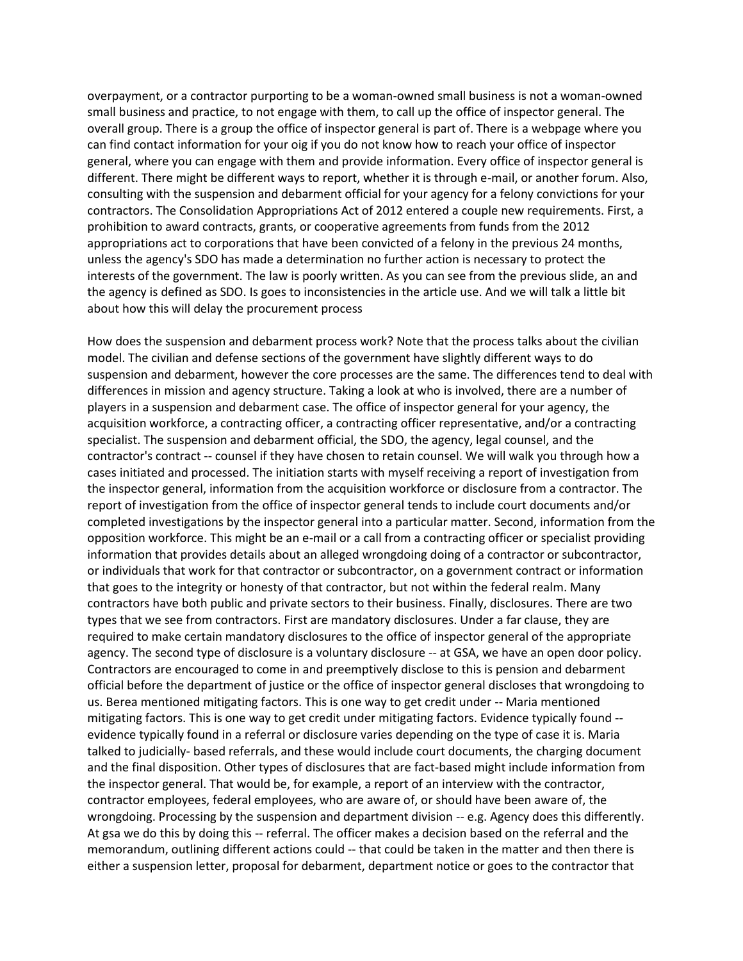overpayment, or a contractor purporting to be a woman-owned small business is not a woman-owned small business and practice, to not engage with them, to call up the office of inspector general. The overall group. There is a group the office of inspector general is part of. There is a webpage where you can find contact information for your oig if you do not know how to reach your office of inspector general, where you can engage with them and provide information. Every office of inspector general is different. There might be different ways to report, whether it is through e-mail, or another forum. Also, consulting with the suspension and debarment official for your agency for a felony convictions for your contractors. The Consolidation Appropriations Act of 2012 entered a couple new requirements. First, a prohibition to award contracts, grants, or cooperative agreements from funds from the 2012 appropriations act to corporations that have been convicted of a felony in the previous 24 months, unless the agency's SDO has made a determination no further action is necessary to protect the interests of the government. The law is poorly written. As you can see from the previous slide, an and the agency is defined as SDO. Is goes to inconsistencies in the article use. And we will talk a little bit about how this will delay the procurement process

How does the suspension and debarment process work? Note that the process talks about the civilian model. The civilian and defense sections of the government have slightly different ways to do suspension and debarment, however the core processes are the same. The differences tend to deal with differences in mission and agency structure. Taking a look at who is involved, there are a number of players in a suspension and debarment case. The office of inspector general for your agency, the acquisition workforce, a contracting officer, a contracting officer representative, and/or a contracting specialist. The suspension and debarment official, the SDO, the agency, legal counsel, and the contractor's contract -- counsel if they have chosen to retain counsel. We will walk you through how a cases initiated and processed. The initiation starts with myself receiving a report of investigation from the inspector general, information from the acquisition workforce or disclosure from a contractor. The report of investigation from the office of inspector general tends to include court documents and/or completed investigations by the inspector general into a particular matter. Second, information from the opposition workforce. This might be an e-mail or a call from a contracting officer or specialist providing information that provides details about an alleged wrongdoing doing of a contractor or subcontractor, or individuals that work for that contractor or subcontractor, on a government contract or information that goes to the integrity or honesty of that contractor, but not within the federal realm. Many contractors have both public and private sectors to their business. Finally, disclosures. There are two types that we see from contractors. First are mandatory disclosures. Under a far clause, they are required to make certain mandatory disclosures to the office of inspector general of the appropriate agency. The second type of disclosure is a voluntary disclosure -- at GSA, we have an open door policy. Contractors are encouraged to come in and preemptively disclose to this is pension and debarment official before the department of justice or the office of inspector general discloses that wrongdoing to us. Berea mentioned mitigating factors. This is one way to get credit under -- Maria mentioned mitigating factors. This is one way to get credit under mitigating factors. Evidence typically found - evidence typically found in a referral or disclosure varies depending on the type of case it is. Maria talked to judicially- based referrals, and these would include court documents, the charging document and the final disposition. Other types of disclosures that are fact-based might include information from the inspector general. That would be, for example, a report of an interview with the contractor, contractor employees, federal employees, who are aware of, or should have been aware of, the wrongdoing. Processing by the suspension and department division -- e.g. Agency does this differently. At gsa we do this by doing this -- referral. The officer makes a decision based on the referral and the memorandum, outlining different actions could -- that could be taken in the matter and then there is either a suspension letter, proposal for debarment, department notice or goes to the contractor that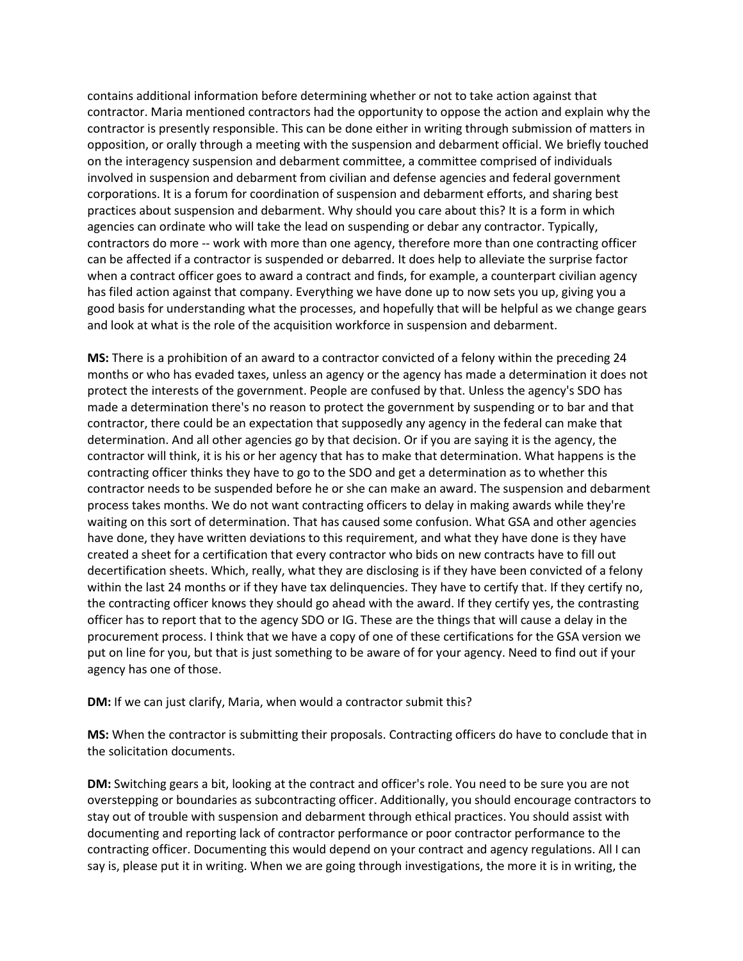contains additional information before determining whether or not to take action against that contractor. Maria mentioned contractors had the opportunity to oppose the action and explain why the contractor is presently responsible. This can be done either in writing through submission of matters in opposition, or orally through a meeting with the suspension and debarment official. We briefly touched on the interagency suspension and debarment committee, a committee comprised of individuals involved in suspension and debarment from civilian and defense agencies and federal government corporations. It is a forum for coordination of suspension and debarment efforts, and sharing best practices about suspension and debarment. Why should you care about this? It is a form in which agencies can ordinate who will take the lead on suspending or debar any contractor. Typically, contractors do more -- work with more than one agency, therefore more than one contracting officer can be affected if a contractor is suspended or debarred. It does help to alleviate the surprise factor when a contract officer goes to award a contract and finds, for example, a counterpart civilian agency has filed action against that company. Everything we have done up to now sets you up, giving you a good basis for understanding what the processes, and hopefully that will be helpful as we change gears and look at what is the role of the acquisition workforce in suspension and debarment.

**MS:** There is a prohibition of an award to a contractor convicted of a felony within the preceding 24 months or who has evaded taxes, unless an agency or the agency has made a determination it does not protect the interests of the government. People are confused by that. Unless the agency's SDO has made a determination there's no reason to protect the government by suspending or to bar and that contractor, there could be an expectation that supposedly any agency in the federal can make that determination. And all other agencies go by that decision. Or if you are saying it is the agency, the contractor will think, it is his or her agency that has to make that determination. What happens is the contracting officer thinks they have to go to the SDO and get a determination as to whether this contractor needs to be suspended before he or she can make an award. The suspension and debarment process takes months. We do not want contracting officers to delay in making awards while they're waiting on this sort of determination. That has caused some confusion. What GSA and other agencies have done, they have written deviations to this requirement, and what they have done is they have created a sheet for a certification that every contractor who bids on new contracts have to fill out decertification sheets. Which, really, what they are disclosing is if they have been convicted of a felony within the last 24 months or if they have tax delinquencies. They have to certify that. If they certify no, the contracting officer knows they should go ahead with the award. If they certify yes, the contrasting officer has to report that to the agency SDO or IG. These are the things that will cause a delay in the procurement process. I think that we have a copy of one of these certifications for the GSA version we put on line for you, but that is just something to be aware of for your agency. Need to find out if your agency has one of those.

**DM:** If we can just clarify, Maria, when would a contractor submit this?

**MS:** When the contractor is submitting their proposals. Contracting officers do have to conclude that in the solicitation documents.

**DM:** Switching gears a bit, looking at the contract and officer's role. You need to be sure you are not overstepping or boundaries as subcontracting officer. Additionally, you should encourage contractors to stay out of trouble with suspension and debarment through ethical practices. You should assist with documenting and reporting lack of contractor performance or poor contractor performance to the contracting officer. Documenting this would depend on your contract and agency regulations. All I can say is, please put it in writing. When we are going through investigations, the more it is in writing, the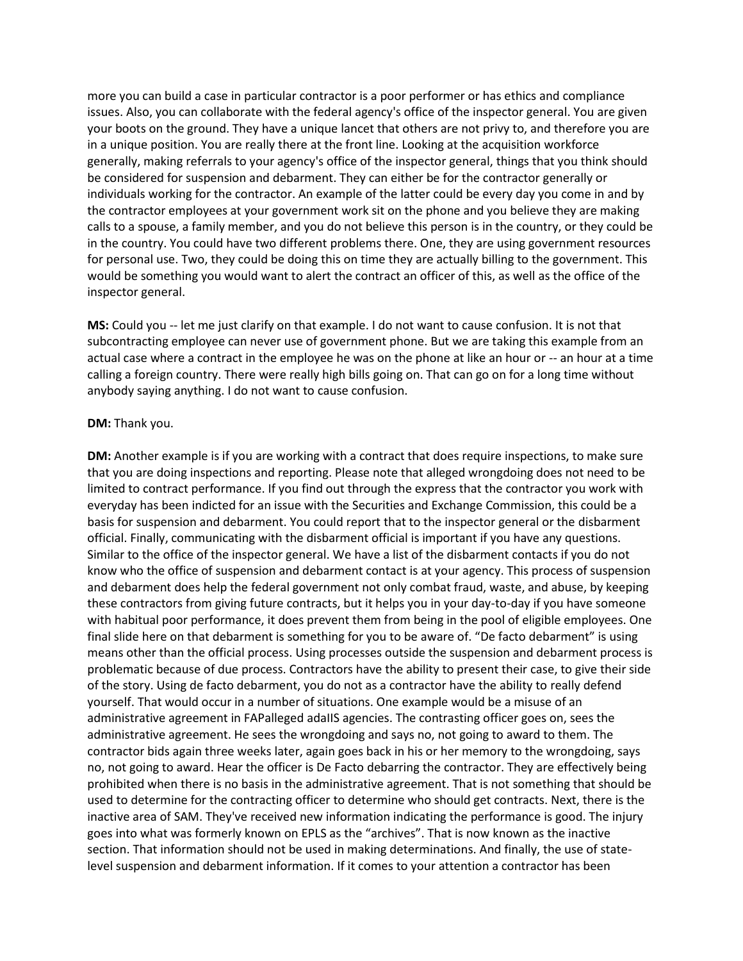more you can build a case in particular contractor is a poor performer or has ethics and compliance issues. Also, you can collaborate with the federal agency's office of the inspector general. You are given your boots on the ground. They have a unique lancet that others are not privy to, and therefore you are in a unique position. You are really there at the front line. Looking at the acquisition workforce generally, making referrals to your agency's office of the inspector general, things that you think should be considered for suspension and debarment. They can either be for the contractor generally or individuals working for the contractor. An example of the latter could be every day you come in and by the contractor employees at your government work sit on the phone and you believe they are making calls to a spouse, a family member, and you do not believe this person is in the country, or they could be in the country. You could have two different problems there. One, they are using government resources for personal use. Two, they could be doing this on time they are actually billing to the government. This would be something you would want to alert the contract an officer of this, as well as the office of the inspector general.

**MS:** Could you -- let me just clarify on that example. I do not want to cause confusion. It is not that subcontracting employee can never use of government phone. But we are taking this example from an actual case where a contract in the employee he was on the phone at like an hour or -- an hour at a time calling a foreign country. There were really high bills going on. That can go on for a long time without anybody saying anything. I do not want to cause confusion.

## **DM:** Thank you.

**DM:** Another example is if you are working with a contract that does require inspections, to make sure that you are doing inspections and reporting. Please note that alleged wrongdoing does not need to be limited to contract performance. If you find out through the express that the contractor you work with everyday has been indicted for an issue with the Securities and Exchange Commission, this could be a basis for suspension and debarment. You could report that to the inspector general or the disbarment official. Finally, communicating with the disbarment official is important if you have any questions. Similar to the office of the inspector general. We have a list of the disbarment contacts if you do not know who the office of suspension and debarment contact is at your agency. This process of suspension and debarment does help the federal government not only combat fraud, waste, and abuse, by keeping these contractors from giving future contracts, but it helps you in your day-to-day if you have someone with habitual poor performance, it does prevent them from being in the pool of eligible employees. One final slide here on that debarment is something for you to be aware of. "De facto debarment" is using means other than the official process. Using processes outside the suspension and debarment process is problematic because of due process. Contractors have the ability to present their case, to give their side of the story. Using de facto debarment, you do not as a contractor have the ability to really defend yourself. That would occur in a number of situations. One example would be a misuse of an administrative agreement in FAPalleged adaIIS agencies. The contrasting officer goes on, sees the administrative agreement. He sees the wrongdoing and says no, not going to award to them. The contractor bids again three weeks later, again goes back in his or her memory to the wrongdoing, says no, not going to award. Hear the officer is De Facto debarring the contractor. They are effectively being prohibited when there is no basis in the administrative agreement. That is not something that should be used to determine for the contracting officer to determine who should get contracts. Next, there is the inactive area of SAM. They've received new information indicating the performance is good. The injury goes into what was formerly known on EPLS as the "archives". That is now known as the inactive section. That information should not be used in making determinations. And finally, the use of statelevel suspension and debarment information. If it comes to your attention a contractor has been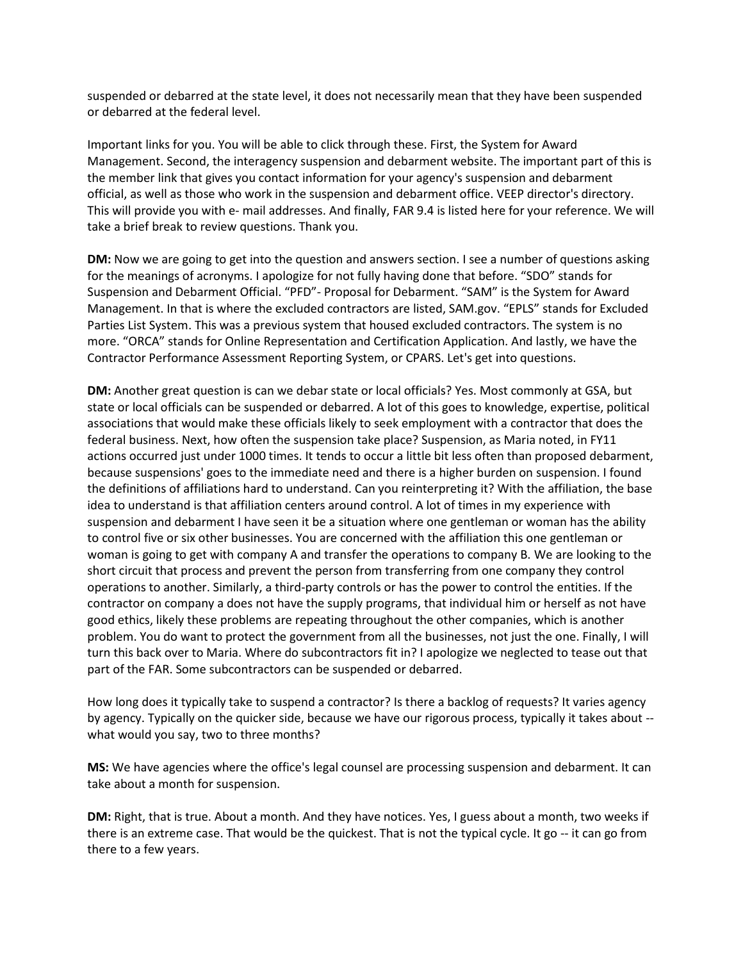suspended or debarred at the state level, it does not necessarily mean that they have been suspended or debarred at the federal level.

Important links for you. You will be able to click through these. First, the System for Award Management. Second, the interagency suspension and debarment website. The important part of this is the member link that gives you contact information for your agency's suspension and debarment official, as well as those who work in the suspension and debarment office. VEEP director's directory. This will provide you with e- mail addresses. And finally, FAR 9.4 is listed here for your reference. We will take a brief break to review questions. Thank you.

**DM:** Now we are going to get into the question and answers section. I see a number of questions asking for the meanings of acronyms. I apologize for not fully having done that before. "SDO" stands for Suspension and Debarment Official. "PFD"- Proposal for Debarment. "SAM" is the System for Award Management. In that is where the excluded contractors are listed, SAM.gov. "EPLS" stands for Excluded Parties List System. This was a previous system that housed excluded contractors. The system is no more. "ORCA" stands for Online Representation and Certification Application. And lastly, we have the Contractor Performance Assessment Reporting System, or CPARS. Let's get into questions.

**DM:** Another great question is can we debar state or local officials? Yes. Most commonly at GSA, but state or local officials can be suspended or debarred. A lot of this goes to knowledge, expertise, political associations that would make these officials likely to seek employment with a contractor that does the federal business. Next, how often the suspension take place? Suspension, as Maria noted, in FY11 actions occurred just under 1000 times. It tends to occur a little bit less often than proposed debarment, because suspensions' goes to the immediate need and there is a higher burden on suspension. I found the definitions of affiliations hard to understand. Can you reinterpreting it? With the affiliation, the base idea to understand is that affiliation centers around control. A lot of times in my experience with suspension and debarment I have seen it be a situation where one gentleman or woman has the ability to control five or six other businesses. You are concerned with the affiliation this one gentleman or woman is going to get with company A and transfer the operations to company B. We are looking to the short circuit that process and prevent the person from transferring from one company they control operations to another. Similarly, a third-party controls or has the power to control the entities. If the contractor on company a does not have the supply programs, that individual him or herself as not have good ethics, likely these problems are repeating throughout the other companies, which is another problem. You do want to protect the government from all the businesses, not just the one. Finally, I will turn this back over to Maria. Where do subcontractors fit in? I apologize we neglected to tease out that part of the FAR. Some subcontractors can be suspended or debarred.

How long does it typically take to suspend a contractor? Is there a backlog of requests? It varies agency by agency. Typically on the quicker side, because we have our rigorous process, typically it takes about - what would you say, two to three months?

**MS:** We have agencies where the office's legal counsel are processing suspension and debarment. It can take about a month for suspension.

**DM:** Right, that is true. About a month. And they have notices. Yes, I guess about a month, two weeks if there is an extreme case. That would be the quickest. That is not the typical cycle. It go -- it can go from there to a few years.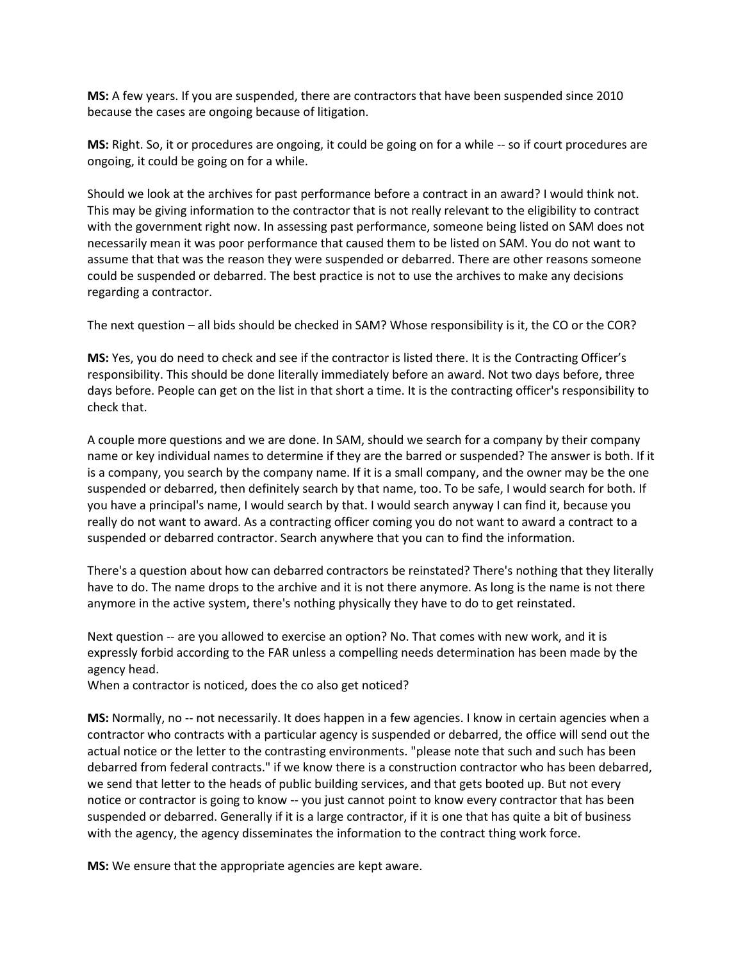**MS:** A few years. If you are suspended, there are contractors that have been suspended since 2010 because the cases are ongoing because of litigation.

**MS:** Right. So, it or procedures are ongoing, it could be going on for a while -- so if court procedures are ongoing, it could be going on for a while.

Should we look at the archives for past performance before a contract in an award? I would think not. This may be giving information to the contractor that is not really relevant to the eligibility to contract with the government right now. In assessing past performance, someone being listed on SAM does not necessarily mean it was poor performance that caused them to be listed on SAM. You do not want to assume that that was the reason they were suspended or debarred. There are other reasons someone could be suspended or debarred. The best practice is not to use the archives to make any decisions regarding a contractor.

The next question – all bids should be checked in SAM? Whose responsibility is it, the CO or the COR?

**MS:** Yes, you do need to check and see if the contractor is listed there. It is the Contracting Officer's responsibility. This should be done literally immediately before an award. Not two days before, three days before. People can get on the list in that short a time. It is the contracting officer's responsibility to check that.

A couple more questions and we are done. In SAM, should we search for a company by their company name or key individual names to determine if they are the barred or suspended? The answer is both. If it is a company, you search by the company name. If it is a small company, and the owner may be the one suspended or debarred, then definitely search by that name, too. To be safe, I would search for both. If you have a principal's name, I would search by that. I would search anyway I can find it, because you really do not want to award. As a contracting officer coming you do not want to award a contract to a suspended or debarred contractor. Search anywhere that you can to find the information.

There's a question about how can debarred contractors be reinstated? There's nothing that they literally have to do. The name drops to the archive and it is not there anymore. As long is the name is not there anymore in the active system, there's nothing physically they have to do to get reinstated.

Next question -- are you allowed to exercise an option? No. That comes with new work, and it is expressly forbid according to the FAR unless a compelling needs determination has been made by the agency head.

When a contractor is noticed, does the co also get noticed?

**MS:** Normally, no -- not necessarily. It does happen in a few agencies. I know in certain agencies when a contractor who contracts with a particular agency is suspended or debarred, the office will send out the actual notice or the letter to the contrasting environments. "please note that such and such has been debarred from federal contracts." if we know there is a construction contractor who has been debarred, we send that letter to the heads of public building services, and that gets booted up. But not every notice or contractor is going to know -- you just cannot point to know every contractor that has been suspended or debarred. Generally if it is a large contractor, if it is one that has quite a bit of business with the agency, the agency disseminates the information to the contract thing work force.

**MS:** We ensure that the appropriate agencies are kept aware.